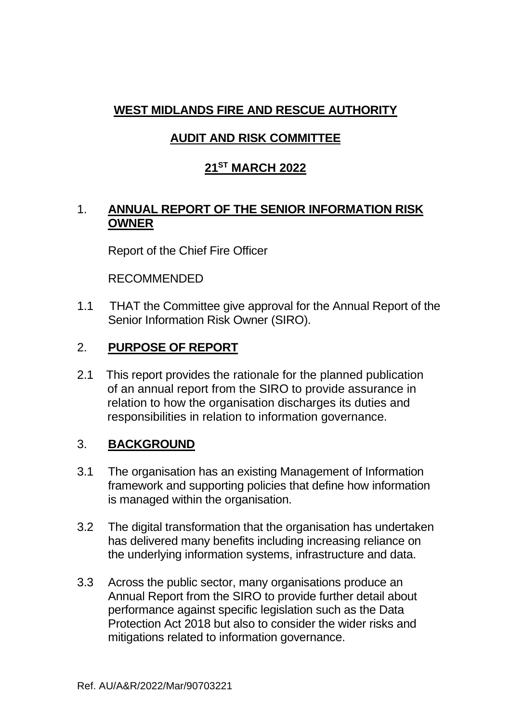# **WEST MIDLANDS FIRE AND RESCUE AUTHORITY**

## **AUDIT AND RISK COMMITTEE**

## **21ST MARCH 2022**

### 1. **ANNUAL REPORT OF THE SENIOR INFORMATION RISK OWNER**

Report of the Chief Fire Officer

RECOMMENDED

1.1 THAT the Committee give approval for the Annual Report of the Senior Information Risk Owner (SIRO).

### 2. **PURPOSE OF REPORT**

2.1 This report provides the rationale for the planned publication of an annual report from the SIRO to provide assurance in relation to how the organisation discharges its duties and responsibilities in relation to information governance.

### 3. **BACKGROUND**

- 3.1 The organisation has an existing Management of Information framework and supporting policies that define how information is managed within the organisation.
- 3.2 The digital transformation that the organisation has undertaken has delivered many benefits including increasing reliance on the underlying information systems, infrastructure and data.
- 3.3 Across the public sector, many organisations produce an Annual Report from the SIRO to provide further detail about performance against specific legislation such as the Data Protection Act 2018 but also to consider the wider risks and mitigations related to information governance.